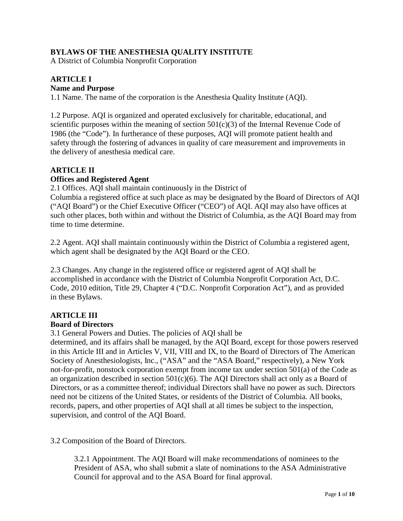### **BYLAWS OF THE ANESTHESIA QUALITY INSTITUTE**

A District of Columbia Nonprofit Corporation

#### **ARTICLE I Name and Purpose**

1.1 Name. The name of the corporation is the Anesthesia Quality Institute (AQI).

1.2 Purpose. AQI is organized and operated exclusively for charitable, educational, and scientific purposes within the meaning of section  $501(c)(3)$  of the Internal Revenue Code of 1986 (the "Code"). In furtherance of these purposes, AQI will promote patient health and safety through the fostering of advances in quality of care measurement and improvements in the delivery of anesthesia medical care.

## **ARTICLE II Offices and Registered Agent**

2.1 Offices. AQI shall maintain continuously in the District of

Columbia a registered office at such place as may be designated by the Board of Directors of AQI ("AQI Board") or the Chief Executive Officer ("CEO") of AQI. AQI may also have offices at such other places, both within and without the District of Columbia, as the AQI Board may from time to time determine.

2.2 Agent. AQI shall maintain continuously within the District of Columbia a registered agent, which agent shall be designated by the AQI Board or the CEO.

2.3 Changes. Any change in the registered office or registered agent of AQI shall be accomplished in accordance with the District of Columbia Nonprofit Corporation Act, D.C. Code, 2010 edition, Title 29, Chapter 4 ("D.C. Nonprofit Corporation Act"), and as provided in these Bylaws.

## **ARTICLE III**

#### **Board of Directors**

3.1 General Powers and Duties. The policies of AQI shall be

determined, and its affairs shall be managed, by the AQI Board, except for those powers reserved in this Article III and in Articles V, VII, VIII and IX, to the Board of Directors of The American Society of Anesthesiologists, Inc., ("ASA" and the "ASA Board," respectively), a New York not-for-profit, nonstock corporation exempt from income tax under section 501(a) of the Code as an organization described in section  $501(c)(6)$ . The AQI Directors shall act only as a Board of Directors, or as a committee thereof; individual Directors shall have no power as such. Directors need not be citizens of the United States, or residents of the District of Columbia. All books, records, papers, and other properties of AQI shall at all times be subject to the inspection, supervision, and control of the AQI Board.

3.2 Composition of the Board of Directors.

3.2.1 Appointment. The AQI Board will make recommendations of nominees to the President of ASA, who shall submit a slate of nominations to the ASA Administrative Council for approval and to the ASA Board for final approval.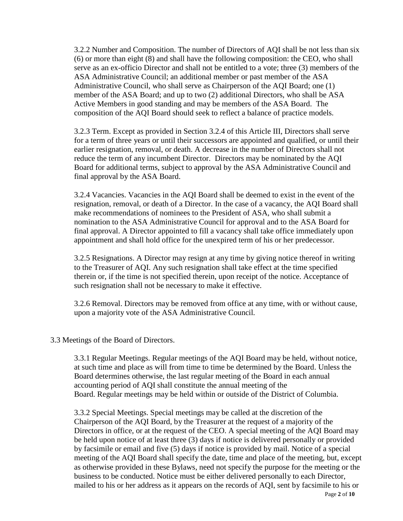3.2.2 Number and Composition. The number of Directors of AQI shall be not less than six (6) or more than eight (8) and shall have the following composition: the CEO, who shall serve as an ex-officio Director and shall not be entitled to a vote; three (3) members of the ASA Administrative Council; an additional member or past member of the ASA Administrative Council, who shall serve as Chairperson of the AQI Board; one (1) member of the ASA Board; and up to two (2) additional Directors, who shall be ASA Active Members in good standing and may be members of the ASA Board. The composition of the AQI Board should seek to reflect a balance of practice models.

3.2.3 Term. Except as provided in Section 3.2.4 of this Article III, Directors shall serve for a term of three years or until their successors are appointed and qualified, or until their earlier resignation, removal, or death. A decrease in the number of Directors shall not reduce the term of any incumbent Director. Directors may be nominated by the AQI Board for additional terms, subject to approval by the ASA Administrative Council and final approval by the ASA Board.

3.2.4 Vacancies. Vacancies in the AQI Board shall be deemed to exist in the event of the resignation, removal, or death of a Director. In the case of a vacancy, the AQI Board shall make recommendations of nominees to the President of ASA, who shall submit a nomination to the ASA Administrative Council for approval and to the ASA Board for final approval. A Director appointed to fill a vacancy shall take office immediately upon appointment and shall hold office for the unexpired term of his or her predecessor.

3.2.5 Resignations. A Director may resign at any time by giving notice thereof in writing to the Treasurer of AQI. Any such resignation shall take effect at the time specified therein or, if the time is not specified therein, upon receipt of the notice. Acceptance of such resignation shall not be necessary to make it effective.

3.2.6 Removal. Directors may be removed from office at any time, with or without cause, upon a majority vote of the ASA Administrative Council.

#### 3.3 Meetings of the Board of Directors.

3.3.1 Regular Meetings. Regular meetings of the AQI Board may be held, without notice, at such time and place as will from time to time be determined by the Board. Unless the Board determines otherwise, the last regular meeting of the Board in each annual accounting period of AQI shall constitute the annual meeting of the Board. Regular meetings may be held within or outside of the District of Columbia.

Page **2** of **10** 3.3.2 Special Meetings. Special meetings may be called at the discretion of the Chairperson of the AQI Board, by the Treasurer at the request of a majority of the Directors in office, or at the request of the CEO. A special meeting of the AQI Board may be held upon notice of at least three (3) days if notice is delivered personally or provided by facsimile or email and five (5) days if notice is provided by mail. Notice of a special meeting of the AQI Board shall specify the date, time and place of the meeting, but, except as otherwise provided in these Bylaws, need not specify the purpose for the meeting or the business to be conducted. Notice must be either delivered personally to each Director, mailed to his or her address as it appears on the records of AQI, sent by facsimile to his or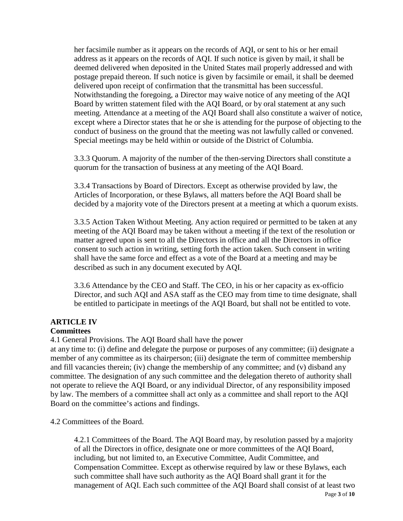her facsimile number as it appears on the records of AQI, or sent to his or her email address as it appears on the records of AQI. If such notice is given by mail, it shall be deemed delivered when deposited in the United States mail properly addressed and with postage prepaid thereon. If such notice is given by facsimile or email, it shall be deemed delivered upon receipt of confirmation that the transmittal has been successful. Notwithstanding the foregoing, a Director may waive notice of any meeting of the AQI Board by written statement filed with the AQI Board, or by oral statement at any such meeting. Attendance at a meeting of the AQI Board shall also constitute a waiver of notice, except where a Director states that he or she is attending for the purpose of objecting to the conduct of business on the ground that the meeting was not lawfully called or convened. Special meetings may be held within or outside of the District of Columbia.

3.3.3 Quorum. A majority of the number of the then-serving Directors shall constitute a quorum for the transaction of business at any meeting of the AQI Board.

3.3.4 Transactions by Board of Directors. Except as otherwise provided by law, the Articles of Incorporation, or these Bylaws, all matters before the AQI Board shall be decided by a majority vote of the Directors present at a meeting at which a quorum exists.

3.3.5 Action Taken Without Meeting. Any action required or permitted to be taken at any meeting of the AQI Board may be taken without a meeting if the text of the resolution or matter agreed upon is sent to all the Directors in office and all the Directors in office consent to such action in writing, setting forth the action taken. Such consent in writing shall have the same force and effect as a vote of the Board at a meeting and may be described as such in any document executed by AQI.

3.3.6 Attendance by the CEO and Staff. The CEO, in his or her capacity as ex-officio Director, and such AQI and ASA staff as the CEO may from time to time designate, shall be entitled to participate in meetings of the AQI Board, but shall not be entitled to vote.

# **ARTICLE IV**

#### **Committees**

4.1 General Provisions. The AQI Board shall have the power

at any time to: (i) define and delegate the purpose or purposes of any committee; (ii) designate a member of any committee as its chairperson; (iii) designate the term of committee membership and fill vacancies therein; (iv) change the membership of any committee; and (v) disband any committee. The designation of any such committee and the delegation thereto of authority shall not operate to relieve the AQI Board, or any individual Director, of any responsibility imposed by law. The members of a committee shall act only as a committee and shall report to the AQI Board on the committee's actions and findings.

4.2 Committees of the Board.

Page **3** of **10** 4.2.1 Committees of the Board. The AQI Board may, by resolution passed by a majority of all the Directors in office, designate one or more committees of the AQI Board, including, but not limited to, an Executive Committee, Audit Committee, and Compensation Committee. Except as otherwise required by law or these Bylaws, each such committee shall have such authority as the AQI Board shall grant it for the management of AQI. Each such committee of the AQI Board shall consist of at least two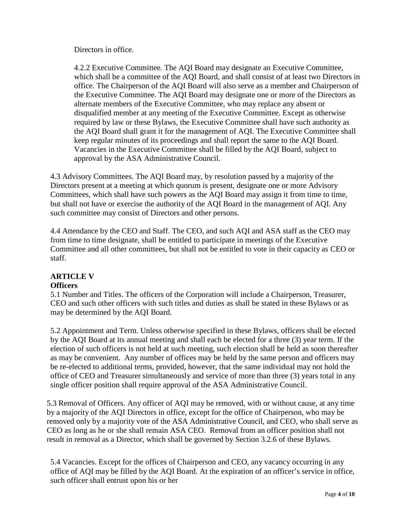Directors in office.

4.2.2 Executive Committee. The AQI Board may designate an Executive Committee, which shall be a committee of the AQI Board, and shall consist of at least two Directors in office. The Chairperson of the AQI Board will also serve as a member and Chairperson of the Executive Committee. The AQI Board may designate one or more of the Directors as alternate members of the Executive Committee, who may replace any absent or disqualified member at any meeting of the Executive Committee. Except as otherwise required by law or these Bylaws, the Executive Committee shall have such authority as the AQI Board shall grant it for the management of AQI. The Executive Committee shall keep regular minutes of its proceedings and shall report the same to the AQI Board. Vacancies in the Executive Committee shall be filled by the AQI Board, subject to approval by the ASA Administrative Council.

4.3 Advisory Committees. The AQI Board may, by resolution passed by a majority of the Directors present at a meeting at which quorum is present, designate one or more Advisory Committees, which shall have such powers as the AQI Board may assign it from time to time, but shall not have or exercise the authority of the AQI Board in the management of AQI. Any such committee may consist of Directors and other persons.

4.4 Attendance by the CEO and Staff. The CEO, and such AQI and ASA staff as the CEO may from time to time designate, shall be entitled to participate in meetings of the Executive Committee and all other committees, but shall not be entitled to vote in their capacity as CEO or staff.

# **ARTICLE V**

#### **Officers**

5.1 Number and Titles. The officers of the Corporation will include a Chairperson, Treasurer, CEO and such other officers with such titles and duties as shall be stated in these Bylaws or as may be determined by the AQI Board.

5.2 Appointment and Term. Unless otherwise specified in these Bylaws, officers shall be elected by the AQI Board at its annual meeting and shall each be elected for a three (3) year term. If the election of such officers is not held at such meeting, such election shall be held as soon thereafter as may be convenient. Any number of offices may be held by the same person and officers may be re-elected to additional terms, provided, however, that the same individual may not hold the office of CEO and Treasurer simultaneously and service of more than three (3) years total in any single officer position shall require approval of the ASA Administrative Council.

5.3 Removal of Officers. Any officer of AQI may be removed, with or without cause, at any time by a majority of the AQI Directors in office, except for the office of Chairperson, who may be removed only by a majority vote of the ASA Administrative Council, and CEO, who shall serve as CEO as long as he or she shall remain ASA CEO. Removal from an officer position shall not result in removal as a Director, which shall be governed by Section 3.2.6 of these Bylaws.

5.4 Vacancies. Except for the offices of Chairperson and CEO, any vacancy occurring in any office of AQI may be filled by the AQI Board. At the expiration of an officer's service in office, such officer shall entrust upon his or her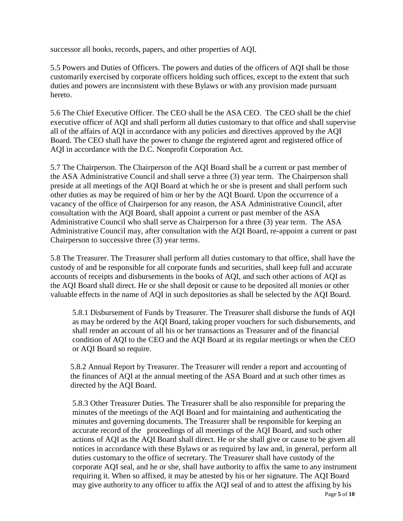successor all books, records, papers, and other properties of AQI.

5.5 Powers and Duties of Officers. The powers and duties of the officers of AQI shall be those customarily exercised by corporate officers holding such offices, except to the extent that such duties and powers are inconsistent with these Bylaws or with any provision made pursuant hereto.

5.6 The Chief Executive Officer. The CEO shall be the ASA CEO. The CEO shall be the chief executive officer of AQI and shall perform all duties customary to that office and shall supervise all of the affairs of AQI in accordance with any policies and directives approved by the AQI Board. The CEO shall have the power to change the registered agent and registered office of AQI in accordance with the D.C. Nonprofit Corporation Act.

5.7 The Chairperson. The Chairperson of the AQI Board shall be a current or past member of the ASA Administrative Council and shall serve a three (3) year term. The Chairperson shall preside at all meetings of the AQI Board at which he or she is present and shall perform such other duties as may be required of him or her by the AQI Board. Upon the occurrence of a vacancy of the office of Chairperson for any reason, the ASA Administrative Council, after consultation with the AQI Board, shall appoint a current or past member of the ASA Administrative Council who shall serve as Chairperson for a three (3) year term. The ASA Administrative Council may, after consultation with the AQI Board, re-appoint a current or past Chairperson to successive three (3) year terms.

5.8 The Treasurer. The Treasurer shall perform all duties customary to that office, shall have the custody of and be responsible for all corporate funds and securities, shall keep full and accurate accounts of receipts and disbursements in the books of AQI, and such other actions of AQI as the AQI Board shall direct. He or she shall deposit or cause to be deposited all monies or other valuable effects in the name of AQI in such depositories as shall be selected by the AQI Board.

5.8.1 Disbursement of Funds by Treasurer. The Treasurer shall disburse the funds of AQI as may be ordered by the AQI Board, taking proper vouchers for such disbursements, and shall render an account of all his or her transactions as Treasurer and of the financial condition of AQI to the CEO and the AQI Board at its regular meetings or when the CEO or AQI Board so require.

5.8.2 Annual Report by Treasurer. The Treasurer will render a report and accounting of the finances of AQI at the annual meeting of the ASA Board and at such other times as directed by the AQI Board.

Page **5** of **10** 5.8.3 Other Treasurer Duties. The Treasurer shall be also responsible for preparing the minutes of the meetings of the AQI Board and for maintaining and authenticating the minutes and governing documents. The Treasurer shall be responsible for keeping an accurate record of the proceedings of all meetings of the AQI Board, and such other actions of AQI as the AQI Board shall direct. He or she shall give or cause to be given all notices in accordance with these Bylaws or as required by law and, in general, perform all duties customary to the office of secretary. The Treasurer shall have custody of the corporate AQI seal, and he or she, shall have authority to affix the same to any instrument requiring it. When so affixed, it may be attested by his or her signature. The AQI Board may give authority to any officer to affix the AQI seal of and to attest the affixing by his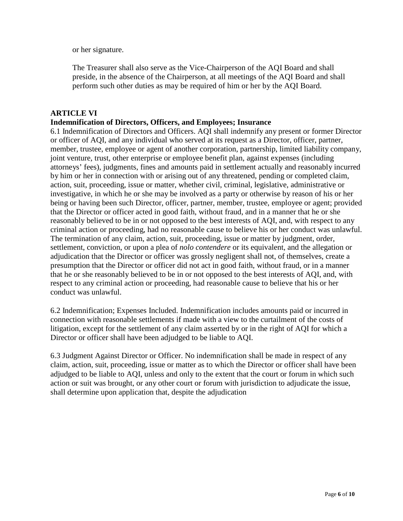or her signature.

The Treasurer shall also serve as the Vice-Chairperson of the AQI Board and shall preside, in the absence of the Chairperson, at all meetings of the AQI Board and shall perform such other duties as may be required of him or her by the AQI Board.

#### **ARTICLE VI**

#### **Indemnification of Directors, Officers, and Employees; Insurance**

6.1 Indemnification of Directors and Officers. AQI shall indemnify any present or former Director or officer of AQI, and any individual who served at its request as a Director, officer, partner, member, trustee, employee or agent of another corporation, partnership, limited liability company, joint venture, trust, other enterprise or employee benefit plan, against expenses (including attorneys' fees), judgments, fines and amounts paid in settlement actually and reasonably incurred by him or her in connection with or arising out of any threatened, pending or completed claim, action, suit, proceeding, issue or matter, whether civil, criminal, legislative, administrative or investigative, in which he or she may be involved as a party or otherwise by reason of his or her being or having been such Director, officer, partner, member, trustee, employee or agent; provided that the Director or officer acted in good faith, without fraud, and in a manner that he or she reasonably believed to be in or not opposed to the best interests of AQI, and, with respect to any criminal action or proceeding, had no reasonable cause to believe his or her conduct was unlawful. The termination of any claim, action, suit, proceeding, issue or matter by judgment, order, settlement, conviction, or upon a plea of *nolo contendere* or its equivalent, and the allegation or adjudication that the Director or officer was grossly negligent shall not, of themselves, create a presumption that the Director or officer did not act in good faith, without fraud, or in a manner that he or she reasonably believed to be in or not opposed to the best interests of AQI, and, with respect to any criminal action or proceeding, had reasonable cause to believe that his or her conduct was unlawful.

6.2 Indemnification; Expenses Included. Indemnification includes amounts paid or incurred in connection with reasonable settlements if made with a view to the curtailment of the costs of litigation, except for the settlement of any claim asserted by or in the right of AQI for which a Director or officer shall have been adjudged to be liable to AQI.

6.3 Judgment Against Director or Officer. No indemnification shall be made in respect of any claim, action, suit, proceeding, issue or matter as to which the Director or officer shall have been adjudged to be liable to AQI, unless and only to the extent that the court or forum in which such action or suit was brought, or any other court or forum with jurisdiction to adjudicate the issue, shall determine upon application that, despite the adjudication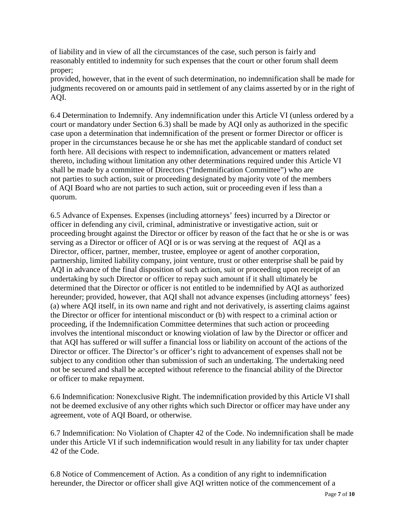of liability and in view of all the circumstances of the case, such person is fairly and reasonably entitled to indemnity for such expenses that the court or other forum shall deem proper;

provided, however, that in the event of such determination, no indemnification shall be made for judgments recovered on or amounts paid in settlement of any claims asserted by or in the right of AQI.

6.4 Determination to Indemnify. Any indemnification under this Article VI (unless ordered by a court or mandatory under Section 6.3) shall be made by AQI only as authorized in the specific case upon a determination that indemnification of the present or former Director or officer is proper in the circumstances because he or she has met the applicable standard of conduct set forth here. All decisions with respect to indemnification, advancement or matters related thereto, including without limitation any other determinations required under this Article VI shall be made by a committee of Directors ("Indemnification Committee") who are not parties to such action, suit or proceeding designated by majority vote of the members of AQI Board who are not parties to such action, suit or proceeding even if less than a quorum.

6.5 Advance of Expenses. Expenses (including attorneys' fees) incurred by a Director or officer in defending any civil, criminal, administrative or investigative action, suit or proceeding brought against the Director or officer by reason of the fact that he or she is or was serving as a Director or officer of AQI or is or was serving at the request of AQI as a Director, officer, partner, member, trustee, employee or agent of another corporation, partnership, limited liability company, joint venture, trust or other enterprise shall be paid by AQI in advance of the final disposition of such action, suit or proceeding upon receipt of an undertaking by such Director or officer to repay such amount if it shall ultimately be determined that the Director or officer is not entitled to be indemnified by AQI as authorized hereunder; provided, however, that AQI shall not advance expenses (including attorneys' fees) (a) where AQI itself, in its own name and right and not derivatively, is asserting claims against the Director or officer for intentional misconduct or (b) with respect to a criminal action or proceeding, if the Indemnification Committee determines that such action or proceeding involves the intentional misconduct or knowing violation of law by the Director or officer and that AQI has suffered or will suffer a financial loss or liability on account of the actions of the Director or officer. The Director's or officer's right to advancement of expenses shall not be subject to any condition other than submission of such an undertaking. The undertaking need not be secured and shall be accepted without reference to the financial ability of the Director or officer to make repayment.

6.6 Indemnification: Nonexclusive Right. The indemnification provided by this Article VI shall not be deemed exclusive of any other rights which such Director or officer may have under any agreement, vote of AQI Board, or otherwise.

6.7 Indemnification: No Violation of Chapter 42 of the Code. No indemnification shall be made under this Article VI if such indemnification would result in any liability for tax under chapter 42 of the Code.

6.8 Notice of Commencement of Action. As a condition of any right to indemnification hereunder, the Director or officer shall give AQI written notice of the commencement of a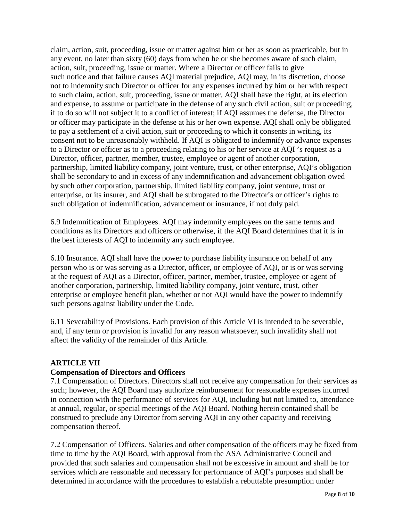claim, action, suit, proceeding, issue or matter against him or her as soon as practicable, but in any event, no later than sixty (60) days from when he or she becomes aware of such claim, action, suit, proceeding, issue or matter. Where a Director or officer fails to give such notice and that failure causes AQI material prejudice, AQI may, in its discretion, choose not to indemnify such Director or officer for any expenses incurred by him or her with respect to such claim, action, suit, proceeding, issue or matter. AQI shall have the right, at its election and expense, to assume or participate in the defense of any such civil action, suit or proceeding, if to do so will not subject it to a conflict of interest; if AQI assumes the defense, the Director or officer may participate in the defense at his or her own expense. AQI shall only be obligated to pay a settlement of a civil action, suit or proceeding to which it consents in writing, its consent not to be unreasonably withheld. If AQI is obligated to indemnify or advance expenses to a Director or officer as to a proceeding relating to his or her service at AQI 's request as a Director, officer, partner, member, trustee, employee or agent of another corporation, partnership, limited liability company, joint venture, trust, or other enterprise, AQI's obligation shall be secondary to and in excess of any indemnification and advancement obligation owed by such other corporation, partnership, limited liability company, joint venture, trust or enterprise, or its insurer, and AQI shall be subrogated to the Director's or officer's rights to such obligation of indemnification, advancement or insurance, if not duly paid.

6.9 Indemnification of Employees. AQI may indemnify employees on the same terms and conditions as its Directors and officers or otherwise, if the AQI Board determines that it is in the best interests of AQI to indemnify any such employee.

6.10 Insurance. AQI shall have the power to purchase liability insurance on behalf of any person who is or was serving as a Director, officer, or employee of AQI, or is or was serving at the request of AQI as a Director, officer, partner, member, trustee, employee or agent of another corporation, partnership, limited liability company, joint venture, trust, other enterprise or employee benefit plan, whether or not AQI would have the power to indemnify such persons against liability under the Code.

6.11 Severability of Provisions. Each provision of this Article VI is intended to be severable, and, if any term or provision is invalid for any reason whatsoever, such invalidity shall not affect the validity of the remainder of this Article.

#### **ARTICLE VII**

#### **Compensation of Directors and Officers**

7.1 Compensation of Directors. Directors shall not receive any compensation for their services as such; however, the AQI Board may authorize reimbursement for reasonable expenses incurred in connection with the performance of services for AQI, including but not limited to, attendance at annual, regular, or special meetings of the AQI Board. Nothing herein contained shall be construed to preclude any Director from serving AQI in any other capacity and receiving compensation thereof.

7.2 Compensation of Officers. Salaries and other compensation of the officers may be fixed from time to time by the AQI Board, with approval from the ASA Administrative Council and provided that such salaries and compensation shall not be excessive in amount and shall be for services which are reasonable and necessary for performance of AQI's purposes and shall be determined in accordance with the procedures to establish a rebuttable presumption under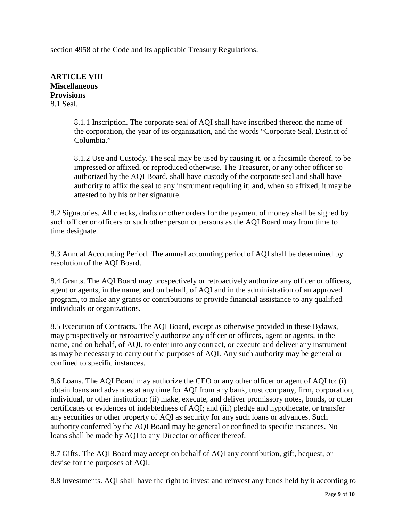section 4958 of the Code and its applicable Treasury Regulations.

**ARTICLE VIII Miscellaneous Provisions** 8.1 Seal.

> 8.1.1 Inscription. The corporate seal of AQI shall have inscribed thereon the name of the corporation, the year of its organization, and the words "Corporate Seal, District of Columbia."

8.1.2 Use and Custody. The seal may be used by causing it, or a facsimile thereof, to be impressed or affixed, or reproduced otherwise. The Treasurer, or any other officer so authorized by the AQI Board, shall have custody of the corporate seal and shall have authority to affix the seal to any instrument requiring it; and, when so affixed, it may be attested to by his or her signature.

8.2 Signatories. All checks, drafts or other orders for the payment of money shall be signed by such officer or officers or such other person or persons as the AQI Board may from time to time designate.

8.3 Annual Accounting Period. The annual accounting period of AQI shall be determined by resolution of the AQI Board.

8.4 Grants. The AQI Board may prospectively or retroactively authorize any officer or officers, agent or agents, in the name, and on behalf, of AQI and in the administration of an approved program, to make any grants or contributions or provide financial assistance to any qualified individuals or organizations.

8.5 Execution of Contracts. The AQI Board, except as otherwise provided in these Bylaws, may prospectively or retroactively authorize any officer or officers, agent or agents, in the name, and on behalf, of AQI, to enter into any contract, or execute and deliver any instrument as may be necessary to carry out the purposes of AQI. Any such authority may be general or confined to specific instances.

8.6 Loans. The AQI Board may authorize the CEO or any other officer or agent of AQI to: (i) obtain loans and advances at any time for AQI from any bank, trust company, firm, corporation, individual, or other institution; (ii) make, execute, and deliver promissory notes, bonds, or other certificates or evidences of indebtedness of AQI; and (iii) pledge and hypothecate, or transfer any securities or other property of AQI as security for any such loans or advances. Such authority conferred by the AQI Board may be general or confined to specific instances. No loans shall be made by AQI to any Director or officer thereof.

8.7 Gifts. The AQI Board may accept on behalf of AQI any contribution, gift, bequest, or devise for the purposes of AQI.

8.8 Investments. AQI shall have the right to invest and reinvest any funds held by it according to